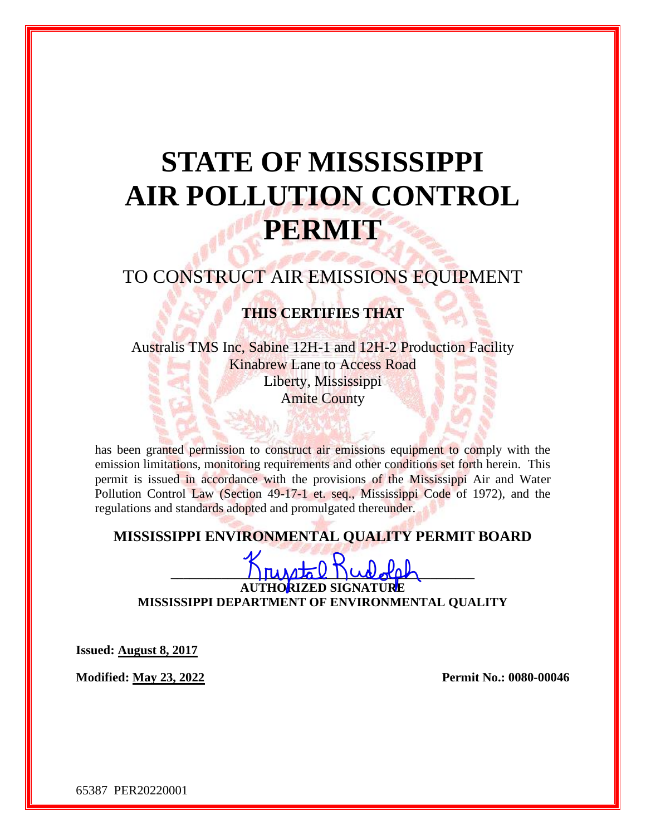# **STATE OF MISSISSIPPI AIR POLLUTION CONTROL PERMIT**

# TO CONSTRUCT AIR EMISSIONS EQUIPMENT

## **THIS CERTIFIES THAT**

Australis TMS Inc, Sabine 12H-1 and 12H-2 Production Facility Kinabrew Lane to Access Road Liberty, Mississippi Amite County

has been granted permission to construct air emissions equipment to comply with the emission limitations, monitoring requirements and other conditions set forth herein. This permit is issued in accordance with the provisions of the Mississippi Air and Water Pollution Control Law (Section 49-17-1 et. seq., Mississippi Code of 1972), and the regulations and standards adopted and promulgated thereunder.

### **MISSISSIPPI ENVIRONMENTAL QUALITY PERMIT BOARD**

 $\Gamma$ **AUTHORIZED SIGNATURE MISSISSIPPI DEPARTMENT OF ENVIRONMENTAL QUALITY**

**Issued: August 8, 2017**

**Modified: May 23, 2022 Permit No.: 0080-00046**

65387 PER20220001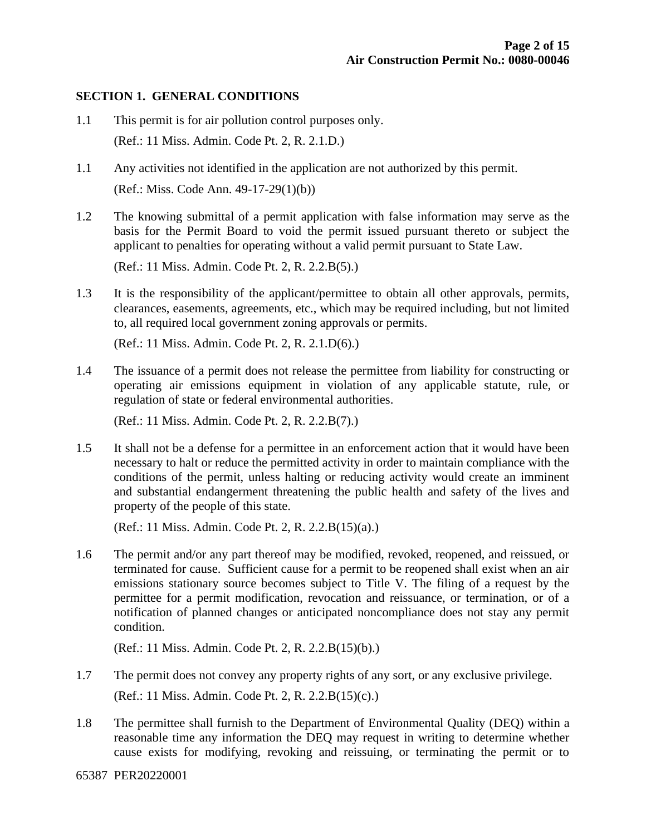#### **SECTION 1. GENERAL CONDITIONS**

- 1.1 This permit is for air pollution control purposes only. (Ref.: 11 Miss. Admin. Code Pt. 2, R. 2.1.D.)
- 1.1 Any activities not identified in the application are not authorized by this permit. (Ref.: Miss. Code Ann. 49-17-29(1)(b))
- 1.2 The knowing submittal of a permit application with false information may serve as the basis for the Permit Board to void the permit issued pursuant thereto or subject the applicant to penalties for operating without a valid permit pursuant to State Law.

(Ref.: 11 Miss. Admin. Code Pt. 2, R. 2.2.B(5).)

1.3 It is the responsibility of the applicant/permittee to obtain all other approvals, permits, clearances, easements, agreements, etc., which may be required including, but not limited to, all required local government zoning approvals or permits.

(Ref.: 11 Miss. Admin. Code Pt. 2, R. 2.1.D(6).)

1.4 The issuance of a permit does not release the permittee from liability for constructing or operating air emissions equipment in violation of any applicable statute, rule, or regulation of state or federal environmental authorities.

(Ref.: 11 Miss. Admin. Code Pt. 2, R. 2.2.B(7).)

1.5 It shall not be a defense for a permittee in an enforcement action that it would have been necessary to halt or reduce the permitted activity in order to maintain compliance with the conditions of the permit, unless halting or reducing activity would create an imminent and substantial endangerment threatening the public health and safety of the lives and property of the people of this state.

(Ref.: 11 Miss. Admin. Code Pt. 2, R. 2.2.B(15)(a).)

1.6 The permit and/or any part thereof may be modified, revoked, reopened, and reissued, or terminated for cause. Sufficient cause for a permit to be reopened shall exist when an air emissions stationary source becomes subject to Title V. The filing of a request by the permittee for a permit modification, revocation and reissuance, or termination, or of a notification of planned changes or anticipated noncompliance does not stay any permit condition.

(Ref.: 11 Miss. Admin. Code Pt. 2, R. 2.2.B(15)(b).)

- 1.7 The permit does not convey any property rights of any sort, or any exclusive privilege. (Ref.: 11 Miss. Admin. Code Pt. 2, R. 2.2.B(15)(c).)
- 1.8 The permittee shall furnish to the Department of Environmental Quality (DEQ) within a reasonable time any information the DEQ may request in writing to determine whether cause exists for modifying, revoking and reissuing, or terminating the permit or to

65387 PER20220001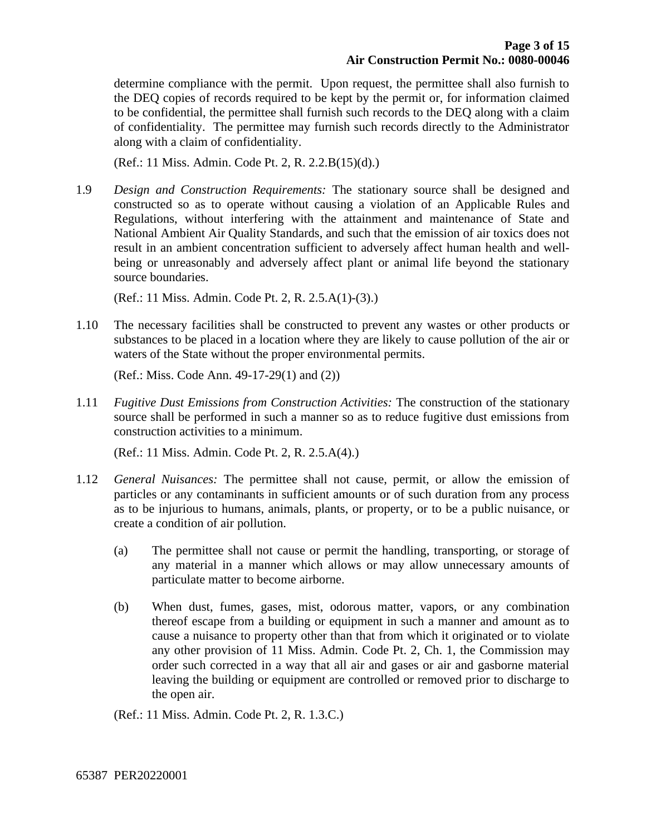determine compliance with the permit. Upon request, the permittee shall also furnish to the DEQ copies of records required to be kept by the permit or, for information claimed to be confidential, the permittee shall furnish such records to the DEQ along with a claim of confidentiality. The permittee may furnish such records directly to the Administrator along with a claim of confidentiality.

(Ref.: 11 Miss. Admin. Code Pt. 2, R. 2.2.B(15)(d).)

1.9 *Design and Construction Requirements:* The stationary source shall be designed and constructed so as to operate without causing a violation of an Applicable Rules and Regulations, without interfering with the attainment and maintenance of State and National Ambient Air Quality Standards, and such that the emission of air toxics does not result in an ambient concentration sufficient to adversely affect human health and wellbeing or unreasonably and adversely affect plant or animal life beyond the stationary source boundaries.

(Ref.: 11 Miss. Admin. Code Pt. 2, R. 2.5.A(1)-(3).)

1.10 The necessary facilities shall be constructed to prevent any wastes or other products or substances to be placed in a location where they are likely to cause pollution of the air or waters of the State without the proper environmental permits.

(Ref.: Miss. Code Ann. 49-17-29(1) and (2))

1.11 *Fugitive Dust Emissions from Construction Activities:* The construction of the stationary source shall be performed in such a manner so as to reduce fugitive dust emissions from construction activities to a minimum.

(Ref.: 11 Miss. Admin. Code Pt. 2, R. 2.5.A(4).)

- 1.12 *General Nuisances:* The permittee shall not cause, permit, or allow the emission of particles or any contaminants in sufficient amounts or of such duration from any process as to be injurious to humans, animals, plants, or property, or to be a public nuisance, or create a condition of air pollution.
	- (a) The permittee shall not cause or permit the handling, transporting, or storage of any material in a manner which allows or may allow unnecessary amounts of particulate matter to become airborne.
	- (b) When dust, fumes, gases, mist, odorous matter, vapors, or any combination thereof escape from a building or equipment in such a manner and amount as to cause a nuisance to property other than that from which it originated or to violate any other provision of 11 Miss. Admin. Code Pt. 2, Ch. 1, the Commission may order such corrected in a way that all air and gases or air and gasborne material leaving the building or equipment are controlled or removed prior to discharge to the open air.

(Ref.: 11 Miss. Admin. Code Pt. 2, R. 1.3.C.)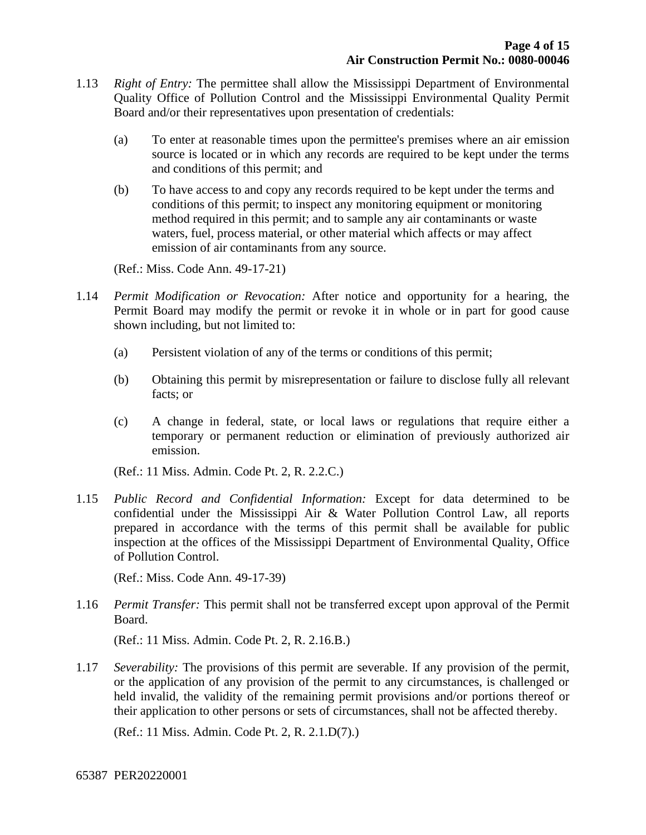- 1.13 *Right of Entry:* The permittee shall allow the Mississippi Department of Environmental Quality Office of Pollution Control and the Mississippi Environmental Quality Permit Board and/or their representatives upon presentation of credentials:
	- (a) To enter at reasonable times upon the permittee's premises where an air emission source is located or in which any records are required to be kept under the terms and conditions of this permit; and
	- (b) To have access to and copy any records required to be kept under the terms and conditions of this permit; to inspect any monitoring equipment or monitoring method required in this permit; and to sample any air contaminants or waste waters, fuel, process material, or other material which affects or may affect emission of air contaminants from any source.

(Ref.: Miss. Code Ann. 49-17-21)

- 1.14 *Permit Modification or Revocation:* After notice and opportunity for a hearing, the Permit Board may modify the permit or revoke it in whole or in part for good cause shown including, but not limited to:
	- (a) Persistent violation of any of the terms or conditions of this permit;
	- (b) Obtaining this permit by misrepresentation or failure to disclose fully all relevant facts; or
	- (c) A change in federal, state, or local laws or regulations that require either a temporary or permanent reduction or elimination of previously authorized air emission.

(Ref.: 11 Miss. Admin. Code Pt. 2, R. 2.2.C.)

1.15 *Public Record and Confidential Information:* Except for data determined to be confidential under the Mississippi Air & Water Pollution Control Law, all reports prepared in accordance with the terms of this permit shall be available for public inspection at the offices of the Mississippi Department of Environmental Quality, Office of Pollution Control.

(Ref.: Miss. Code Ann. 49-17-39)

1.16 *Permit Transfer:* This permit shall not be transferred except upon approval of the Permit Board.

(Ref.: 11 Miss. Admin. Code Pt. 2, R. 2.16.B.)

1.17 *Severability:* The provisions of this permit are severable. If any provision of the permit, or the application of any provision of the permit to any circumstances, is challenged or held invalid, the validity of the remaining permit provisions and/or portions thereof or their application to other persons or sets of circumstances, shall not be affected thereby.

(Ref.: 11 Miss. Admin. Code Pt. 2, R. 2.1.D(7).)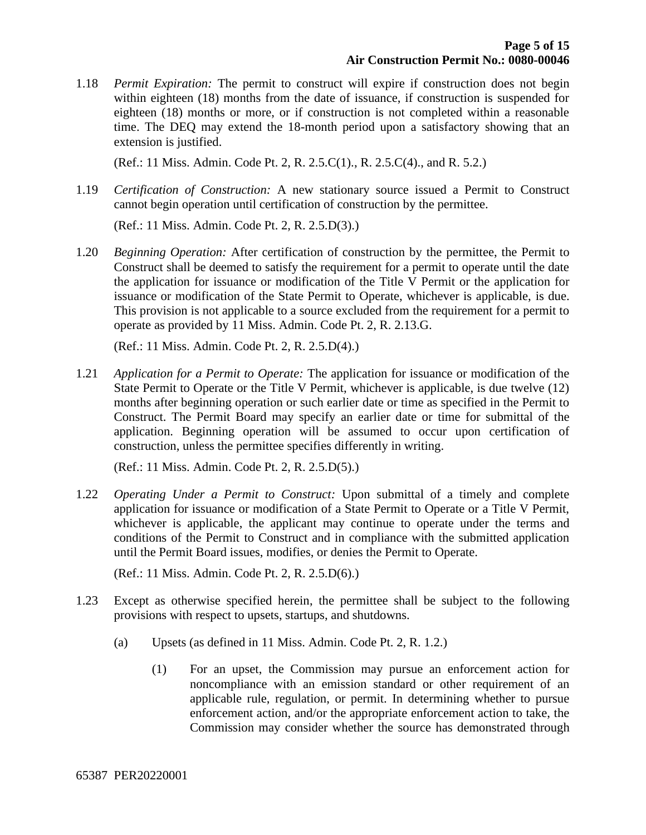1.18 *Permit Expiration:* The permit to construct will expire if construction does not begin within eighteen (18) months from the date of issuance, if construction is suspended for eighteen (18) months or more, or if construction is not completed within a reasonable time. The DEQ may extend the 18-month period upon a satisfactory showing that an extension is justified.

(Ref.: 11 Miss. Admin. Code Pt. 2, R. 2.5.C(1)., R. 2.5.C(4)., and R. 5.2.)

1.19 *Certification of Construction:* A new stationary source issued a Permit to Construct cannot begin operation until certification of construction by the permittee.

(Ref.: 11 Miss. Admin. Code Pt. 2, R. 2.5.D(3).)

1.20 *Beginning Operation:* After certification of construction by the permittee, the Permit to Construct shall be deemed to satisfy the requirement for a permit to operate until the date the application for issuance or modification of the Title V Permit or the application for issuance or modification of the State Permit to Operate, whichever is applicable, is due. This provision is not applicable to a source excluded from the requirement for a permit to operate as provided by 11 Miss. Admin. Code Pt. 2, R. 2.13.G.

(Ref.: 11 Miss. Admin. Code Pt. 2, R. 2.5.D(4).)

1.21 *Application for a Permit to Operate:* The application for issuance or modification of the State Permit to Operate or the Title V Permit, whichever is applicable, is due twelve (12) months after beginning operation or such earlier date or time as specified in the Permit to Construct. The Permit Board may specify an earlier date or time for submittal of the application. Beginning operation will be assumed to occur upon certification of construction, unless the permittee specifies differently in writing.

(Ref.: 11 Miss. Admin. Code Pt. 2, R. 2.5.D(5).)

1.22 *Operating Under a Permit to Construct:* Upon submittal of a timely and complete application for issuance or modification of a State Permit to Operate or a Title V Permit, whichever is applicable, the applicant may continue to operate under the terms and conditions of the Permit to Construct and in compliance with the submitted application until the Permit Board issues, modifies, or denies the Permit to Operate.

(Ref.: 11 Miss. Admin. Code Pt. 2, R. 2.5.D(6).)

- 1.23 Except as otherwise specified herein, the permittee shall be subject to the following provisions with respect to upsets, startups, and shutdowns.
	- (a) Upsets (as defined in 11 Miss. Admin. Code Pt. 2, R. 1.2.)
		- (1) For an upset, the Commission may pursue an enforcement action for noncompliance with an emission standard or other requirement of an applicable rule, regulation, or permit. In determining whether to pursue enforcement action, and/or the appropriate enforcement action to take, the Commission may consider whether the source has demonstrated through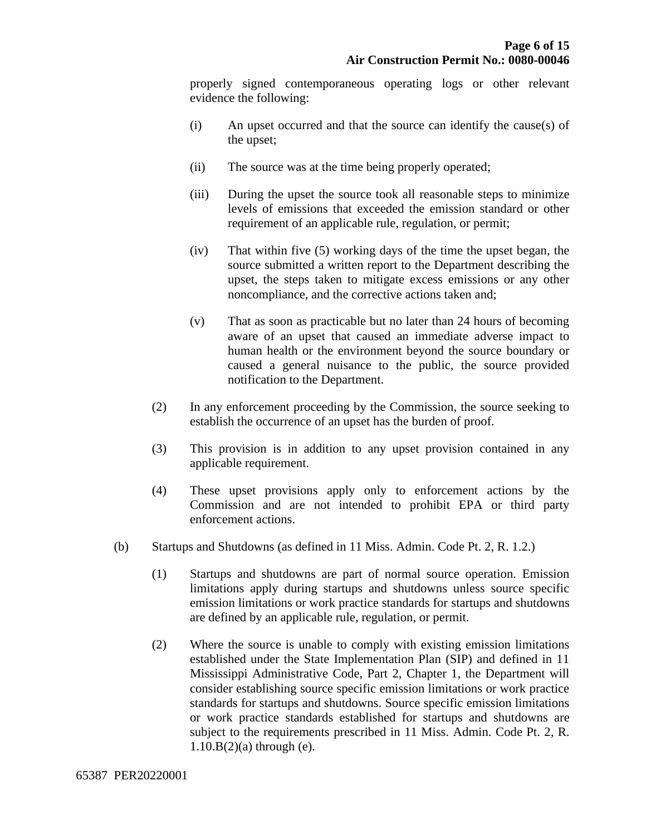properly signed contemporaneous operating logs or other relevant evidence the following:

- (i) An upset occurred and that the source can identify the cause(s) of the upset;
- (ii) The source was at the time being properly operated;
- (iii) During the upset the source took all reasonable steps to minimize levels of emissions that exceeded the emission standard or other requirement of an applicable rule, regulation, or permit;
- (iv) That within five (5) working days of the time the upset began, the source submitted a written report to the Department describing the upset, the steps taken to mitigate excess emissions or any other noncompliance, and the corrective actions taken and;
- (v) That as soon as practicable but no later than 24 hours of becoming aware of an upset that caused an immediate adverse impact to human health or the environment beyond the source boundary or caused a general nuisance to the public, the source provided notification to the Department.
- (2) In any enforcement proceeding by the Commission, the source seeking to establish the occurrence of an upset has the burden of proof.
- (3) This provision is in addition to any upset provision contained in any applicable requirement.
- (4) These upset provisions apply only to enforcement actions by the Commission and are not intended to prohibit EPA or third party enforcement actions.
- (b) Startups and Shutdowns (as defined in 11 Miss. Admin. Code Pt. 2, R. 1.2.)
	- (1) Startups and shutdowns are part of normal source operation. Emission limitations apply during startups and shutdowns unless source specific emission limitations or work practice standards for startups and shutdowns are defined by an applicable rule, regulation, or permit.
	- (2) Where the source is unable to comply with existing emission limitations established under the State Implementation Plan (SIP) and defined in 11 Mississippi Administrative Code, Part 2, Chapter 1, the Department will consider establishing source specific emission limitations or work practice standards for startups and shutdowns. Source specific emission limitations or work practice standards established for startups and shutdowns are subject to the requirements prescribed in 11 Miss. Admin. Code Pt. 2, R.  $1.10.B(2)$ (a) through (e).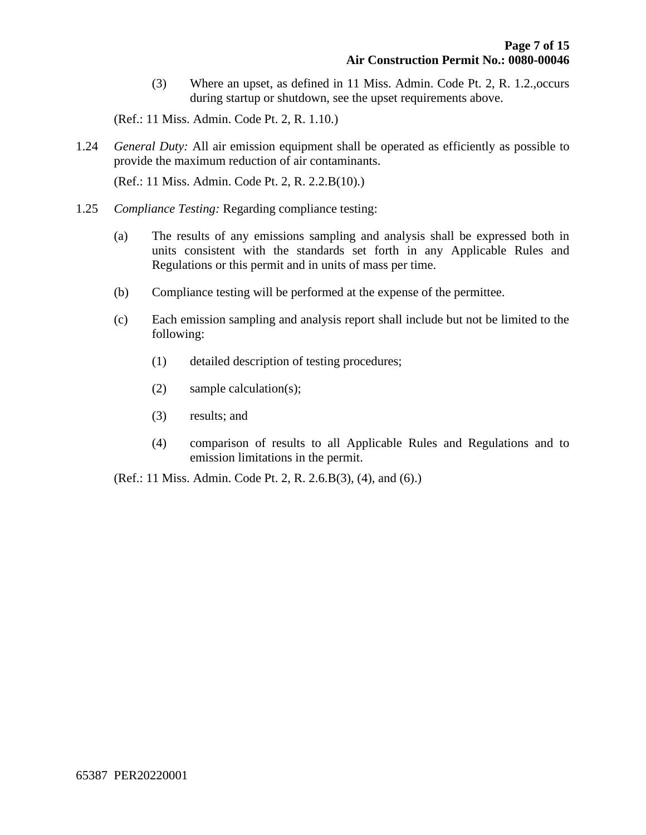(3) Where an upset, as defined in 11 Miss. Admin. Code Pt. 2, R. 1.2.,occurs during startup or shutdown, see the upset requirements above.

(Ref.: 11 Miss. Admin. Code Pt. 2, R. 1.10.)

1.24 *General Duty:* All air emission equipment shall be operated as efficiently as possible to provide the maximum reduction of air contaminants.

(Ref.: 11 Miss. Admin. Code Pt. 2, R. 2.2.B(10).)

- 1.25 *Compliance Testing:* Regarding compliance testing:
	- (a) The results of any emissions sampling and analysis shall be expressed both in units consistent with the standards set forth in any Applicable Rules and Regulations or this permit and in units of mass per time.
	- (b) Compliance testing will be performed at the expense of the permittee.
	- (c) Each emission sampling and analysis report shall include but not be limited to the following:
		- (1) detailed description of testing procedures;
		- (2) sample calculation(s);
		- (3) results; and
		- (4) comparison of results to all Applicable Rules and Regulations and to emission limitations in the permit.

(Ref.: 11 Miss. Admin. Code Pt. 2, R. 2.6.B(3), (4), and (6).)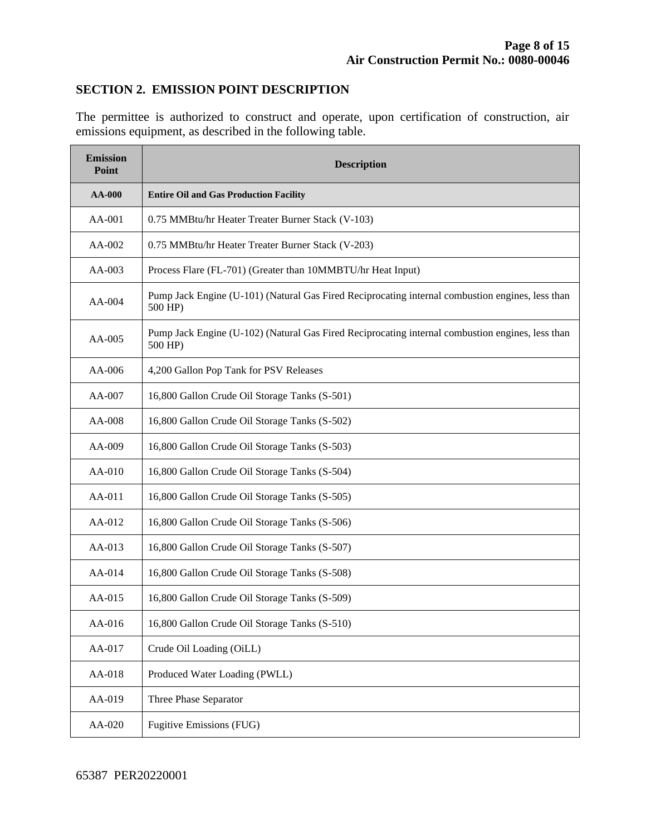#### **SECTION 2. EMISSION POINT DESCRIPTION**

The permittee is authorized to construct and operate, upon certification of construction, air emissions equipment, as described in the following table.

| <b>Emission</b><br>Point | <b>Description</b>                                                                                          |  |  |
|--------------------------|-------------------------------------------------------------------------------------------------------------|--|--|
| <b>AA-000</b>            | <b>Entire Oil and Gas Production Facility</b>                                                               |  |  |
| AA-001                   | 0.75 MMBtu/hr Heater Treater Burner Stack (V-103)                                                           |  |  |
| AA-002                   | 0.75 MMBtu/hr Heater Treater Burner Stack (V-203)                                                           |  |  |
| $AA-003$                 | Process Flare (FL-701) (Greater than 10MMBTU/hr Heat Input)                                                 |  |  |
| $AA-004$                 | Pump Jack Engine (U-101) (Natural Gas Fired Reciprocating internal combustion engines, less than<br>500 HP) |  |  |
| $AA-005$                 | Pump Jack Engine (U-102) (Natural Gas Fired Reciprocating internal combustion engines, less than<br>500 HP) |  |  |
| AA-006                   | 4,200 Gallon Pop Tank for PSV Releases                                                                      |  |  |
| AA-007                   | 16,800 Gallon Crude Oil Storage Tanks (S-501)                                                               |  |  |
| AA-008                   | 16,800 Gallon Crude Oil Storage Tanks (S-502)                                                               |  |  |
| AA-009                   | 16,800 Gallon Crude Oil Storage Tanks (S-503)                                                               |  |  |
| $AA-010$                 | 16,800 Gallon Crude Oil Storage Tanks (S-504)                                                               |  |  |
| AA-011                   | 16,800 Gallon Crude Oil Storage Tanks (S-505)                                                               |  |  |
| AA-012                   | 16,800 Gallon Crude Oil Storage Tanks (S-506)                                                               |  |  |
| $AA-013$                 | 16,800 Gallon Crude Oil Storage Tanks (S-507)                                                               |  |  |
| AA-014                   | 16,800 Gallon Crude Oil Storage Tanks (S-508)                                                               |  |  |
| AA-015                   | 16,800 Gallon Crude Oil Storage Tanks (S-509)                                                               |  |  |
| AA-016                   | 16,800 Gallon Crude Oil Storage Tanks (S-510)                                                               |  |  |
| AA-017                   | Crude Oil Loading (OiLL)                                                                                    |  |  |
| AA-018                   | Produced Water Loading (PWLL)                                                                               |  |  |
| AA-019                   | Three Phase Separator                                                                                       |  |  |
| AA-020                   | <b>Fugitive Emissions (FUG)</b>                                                                             |  |  |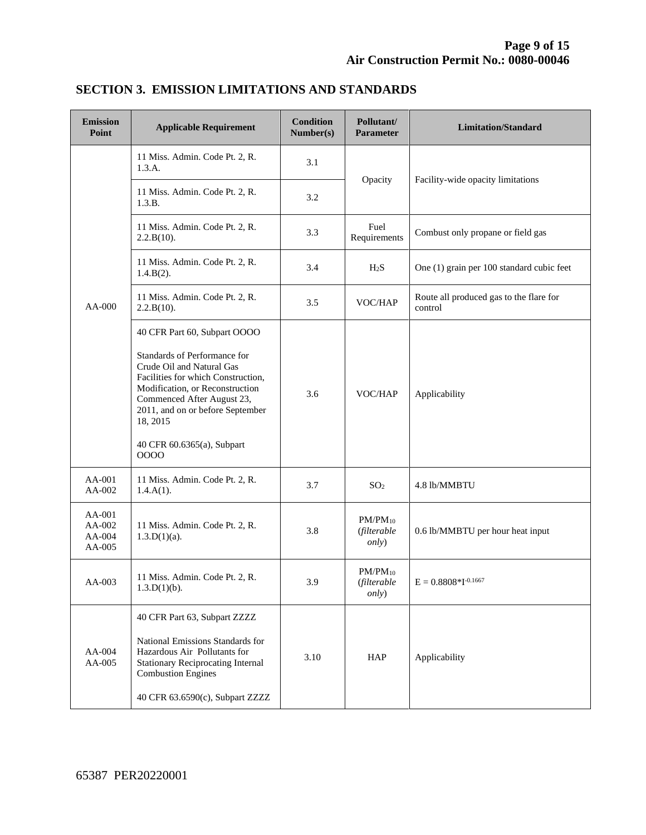| <b>Emission</b><br>Point             | <b>Applicable Requirement</b>                                                                                                                                                                                                                                                          | <b>Condition</b><br>Number(s) | Pollutant/<br><b>Parameter</b>                      | <b>Limitation/Standard</b>                         |
|--------------------------------------|----------------------------------------------------------------------------------------------------------------------------------------------------------------------------------------------------------------------------------------------------------------------------------------|-------------------------------|-----------------------------------------------------|----------------------------------------------------|
|                                      | 11 Miss. Admin. Code Pt. 2, R.<br>1.3.A.                                                                                                                                                                                                                                               | 3.1                           | Opacity                                             | Facility-wide opacity limitations                  |
|                                      | 11 Miss. Admin. Code Pt. 2, R.<br>1.3.B.                                                                                                                                                                                                                                               | 3.2                           |                                                     |                                                    |
|                                      | 11 Miss. Admin. Code Pt. 2, R.<br>2.2.B(10).                                                                                                                                                                                                                                           | 3.3                           | Fuel<br>Requirements                                | Combust only propane or field gas                  |
|                                      | 11 Miss. Admin. Code Pt. 2, R.<br>$1.4.B(2)$ .                                                                                                                                                                                                                                         | 3.4                           | H <sub>2</sub> S                                    | One (1) grain per 100 standard cubic feet          |
| AA-000                               | 11 Miss. Admin. Code Pt. 2, R.<br>2.2.B(10).                                                                                                                                                                                                                                           | 3.5                           | VOC/HAP                                             | Route all produced gas to the flare for<br>control |
|                                      | 40 CFR Part 60, Subpart OOOO<br>Standards of Performance for<br>Crude Oil and Natural Gas<br>Facilities for which Construction,<br>Modification, or Reconstruction<br>Commenced After August 23,<br>2011, and on or before September<br>18, 2015<br>40 CFR 60.6365(a), Subpart<br>0000 | 3.6                           | VOC/HAP                                             | Applicability                                      |
| AA-001<br>AA-002                     | 11 Miss. Admin. Code Pt. 2, R.<br>$1.4.A(1)$ .                                                                                                                                                                                                                                         | 3.7                           | SO <sub>2</sub>                                     | 4.8 lb/MMBTU                                       |
| AA-001<br>AA-002<br>AA-004<br>AA-005 | 11 Miss. Admin. Code Pt. 2, R.<br>$1.3.D(1)(a)$ .                                                                                                                                                                                                                                      | 3.8                           | $PM/PM_{10}$<br>(filterable<br><i>only</i> )        | 0.6 lb/MMBTU per hour heat input                   |
| AA-003                               | 11 Miss. Admin. Code Pt. 2, R.<br>$1.3.D(1)(b)$ .                                                                                                                                                                                                                                      | 3.9                           | $PM/PM_{10}$<br><i>(filterable</i><br><i>only</i> ) | $E = 0.8808 * I^{-0.1667}$                         |
| $AA-004$<br>AA-005                   | 40 CFR Part 63, Subpart ZZZZ<br>National Emissions Standards for<br>Hazardous Air Pollutants for<br><b>Stationary Reciprocating Internal</b><br><b>Combustion Engines</b><br>40 CFR 63.6590(c), Subpart ZZZZ                                                                           | 3.10                          | HAP                                                 | Applicability                                      |

## **SECTION 3. EMISSION LIMITATIONS AND STANDARDS**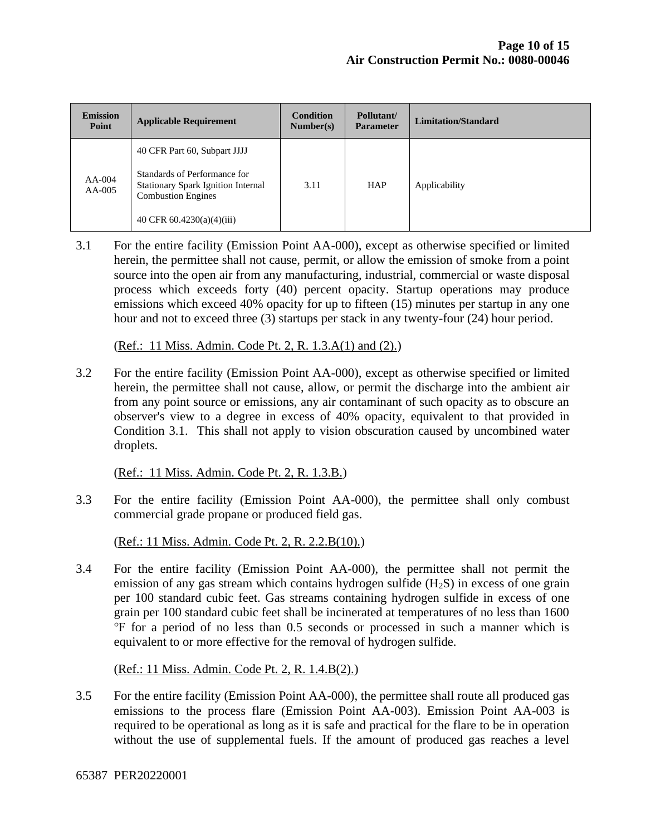| <b>Emission</b><br>Point | <b>Applicable Requirement</b>                                                                                                                                  | <b>Condition</b><br>Number(s) | Pollutant/<br><b>Parameter</b> | Limitation/Standard |
|--------------------------|----------------------------------------------------------------------------------------------------------------------------------------------------------------|-------------------------------|--------------------------------|---------------------|
| $AA-004$<br>$AA-005$     | 40 CFR Part 60, Subpart JJJJ<br>Standards of Performance for<br>Stationary Spark Ignition Internal<br><b>Combustion Engines</b><br>40 CFR $60.4230(a)(4)(iii)$ | 3.11                          | <b>HAP</b>                     | Applicability       |

3.1 For the entire facility (Emission Point AA-000), except as otherwise specified or limited herein, the permittee shall not cause, permit, or allow the emission of smoke from a point source into the open air from any manufacturing, industrial, commercial or waste disposal process which exceeds forty (40) percent opacity. Startup operations may produce emissions which exceed 40% opacity for up to fifteen (15) minutes per startup in any one hour and not to exceed three (3) startups per stack in any twenty-four (24) hour period.

(Ref.: 11 Miss. Admin. Code Pt. 2, R. 1.3.A(1) and (2).)

3.2 For the entire facility (Emission Point AA-000), except as otherwise specified or limited herein, the permittee shall not cause, allow, or permit the discharge into the ambient air from any point source or emissions, any air contaminant of such opacity as to obscure an observer's view to a degree in excess of 40% opacity, equivalent to that provided in Condition 3.1. This shall not apply to vision obscuration caused by uncombined water droplets.

(Ref.: 11 Miss. Admin. Code Pt. 2, R. 1.3.B.)

3.3 For the entire facility (Emission Point AA-000), the permittee shall only combust commercial grade propane or produced field gas.

(Ref.: 11 Miss. Admin. Code Pt. 2, R. 2.2.B(10).)

3.4 For the entire facility (Emission Point AA-000), the permittee shall not permit the emission of any gas stream which contains hydrogen sulfide  $(H_2S)$  in excess of one grain per 100 standard cubic feet. Gas streams containing hydrogen sulfide in excess of one grain per 100 standard cubic feet shall be incinerated at temperatures of no less than 1600 ℉ for a period of no less than 0.5 seconds or processed in such a manner which is equivalent to or more effective for the removal of hydrogen sulfide.

(Ref.: 11 Miss. Admin. Code Pt. 2, R. 1.4.B(2).)

3.5 For the entire facility (Emission Point AA-000), the permittee shall route all produced gas emissions to the process flare (Emission Point AA-003). Emission Point AA-003 is required to be operational as long as it is safe and practical for the flare to be in operation without the use of supplemental fuels. If the amount of produced gas reaches a level

65387 PER20220001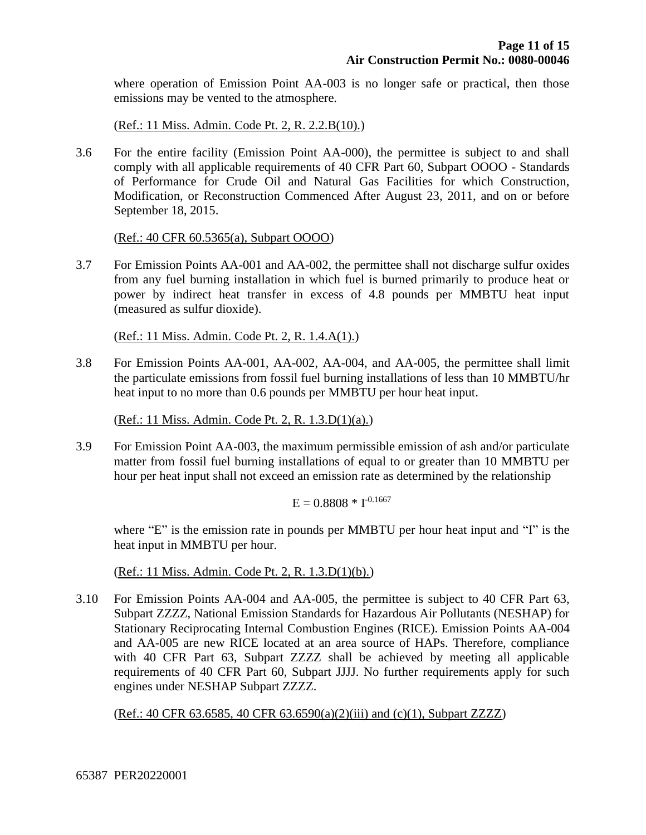where operation of Emission Point AA-003 is no longer safe or practical, then those emissions may be vented to the atmosphere.

(Ref.: 11 Miss. Admin. Code Pt. 2, R. 2.2.B(10).)

3.6 For the entire facility (Emission Point AA-000), the permittee is subject to and shall comply with all applicable requirements of 40 CFR Part 60, Subpart OOOO - Standards of Performance for Crude Oil and Natural Gas Facilities for which Construction, Modification, or Reconstruction Commenced After August 23, 2011, and on or before September 18, 2015.

(Ref.: 40 CFR 60.5365(a), Subpart OOOO)

3.7 For Emission Points AA-001 and AA-002, the permittee shall not discharge sulfur oxides from any fuel burning installation in which fuel is burned primarily to produce heat or power by indirect heat transfer in excess of 4.8 pounds per MMBTU heat input (measured as sulfur dioxide).

(Ref.: 11 Miss. Admin. Code Pt. 2, R. 1.4.A(1).)

3.8 For Emission Points AA-001, AA-002, AA-004, and AA-005, the permittee shall limit the particulate emissions from fossil fuel burning installations of less than 10 MMBTU/hr heat input to no more than 0.6 pounds per MMBTU per hour heat input.

(Ref.: 11 Miss. Admin. Code Pt. 2, R. 1.3.D(1)(a).)

3.9 For Emission Point AA-003, the maximum permissible emission of ash and/or particulate matter from fossil fuel burning installations of equal to or greater than 10 MMBTU per hour per heat input shall not exceed an emission rate as determined by the relationship

 $E = 0.8808 * I^{-0.1667}$ 

where "E" is the emission rate in pounds per MMBTU per hour heat input and "I" is the heat input in MMBTU per hour.

(Ref.: 11 Miss. Admin. Code Pt. 2, R. 1.3.D(1)(b).)

3.10 For Emission Points AA-004 and AA-005, the permittee is subject to 40 CFR Part 63, Subpart ZZZZ, National Emission Standards for Hazardous Air Pollutants (NESHAP) for Stationary Reciprocating Internal Combustion Engines (RICE). Emission Points AA-004 and AA-005 are new RICE located at an area source of HAPs. Therefore, compliance with 40 CFR Part 63, Subpart ZZZZ shall be achieved by meeting all applicable requirements of 40 CFR Part 60, Subpart JJJJ. No further requirements apply for such engines under NESHAP Subpart ZZZZ.

(Ref.: 40 CFR 63.6585, 40 CFR 63.6590(a)(2)(iii) and (c)(1), Subpart ZZZZ)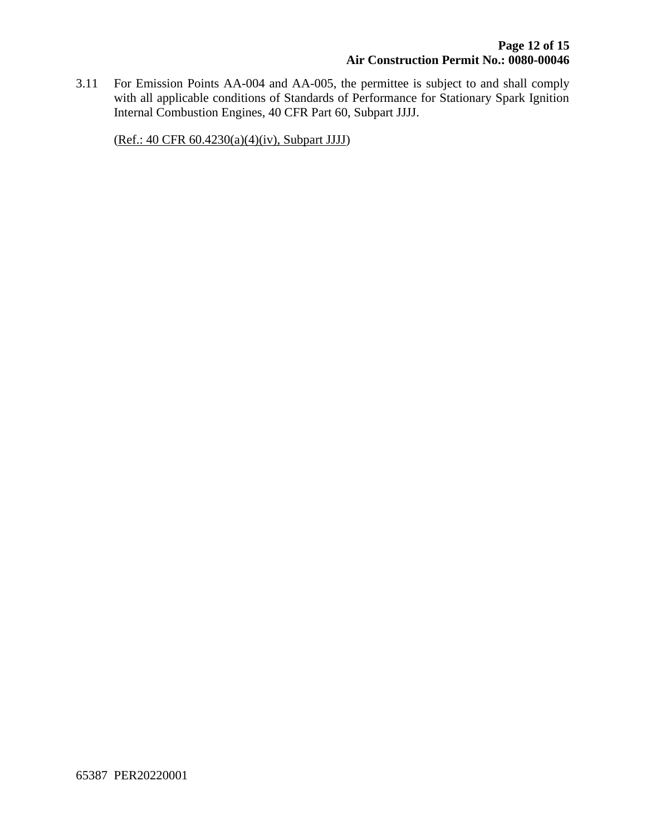3.11 For Emission Points AA-004 and AA-005, the permittee is subject to and shall comply with all applicable conditions of Standards of Performance for Stationary Spark Ignition Internal Combustion Engines, 40 CFR Part 60, Subpart JJJJ.

(Ref.: 40 CFR 60.4230(a)(4)(iv), Subpart JJJJ)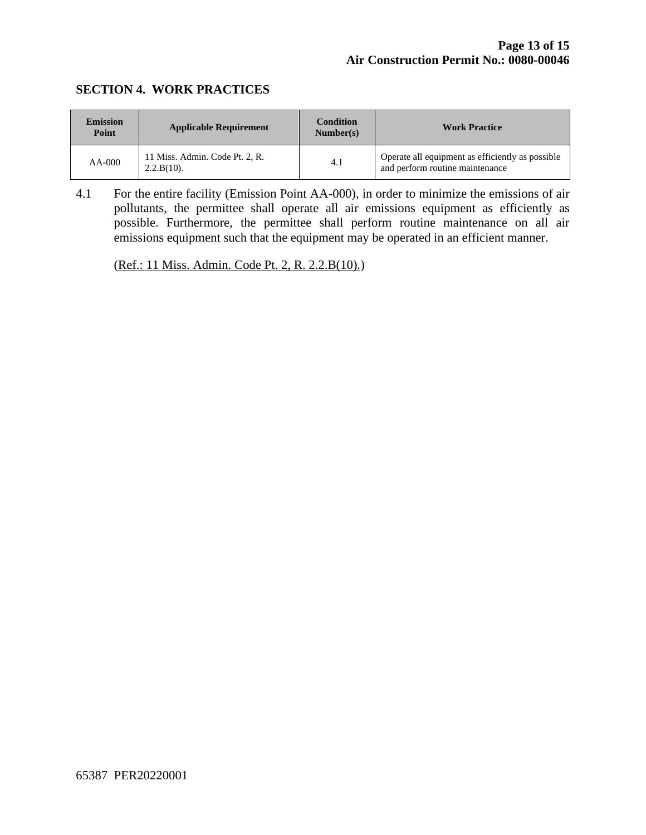#### **SECTION 4. WORK PRACTICES**

| <b>Emission</b><br>Point | <b>Applicable Requirement</b>                   | <b>Condition</b><br>Number(s) | <b>Work Practice</b>                                                                |
|--------------------------|-------------------------------------------------|-------------------------------|-------------------------------------------------------------------------------------|
| $AA-000$                 | 11 Miss. Admin. Code Pt. 2, R.<br>$2.2.B(10)$ . | 4.1                           | Operate all equipment as efficiently as possible<br>and perform routine maintenance |

4.1 For the entire facility (Emission Point AA-000), in order to minimize the emissions of air pollutants, the permittee shall operate all air emissions equipment as efficiently as possible. Furthermore, the permittee shall perform routine maintenance on all air emissions equipment such that the equipment may be operated in an efficient manner.

(Ref.: 11 Miss. Admin. Code Pt. 2, R. 2.2.B(10).)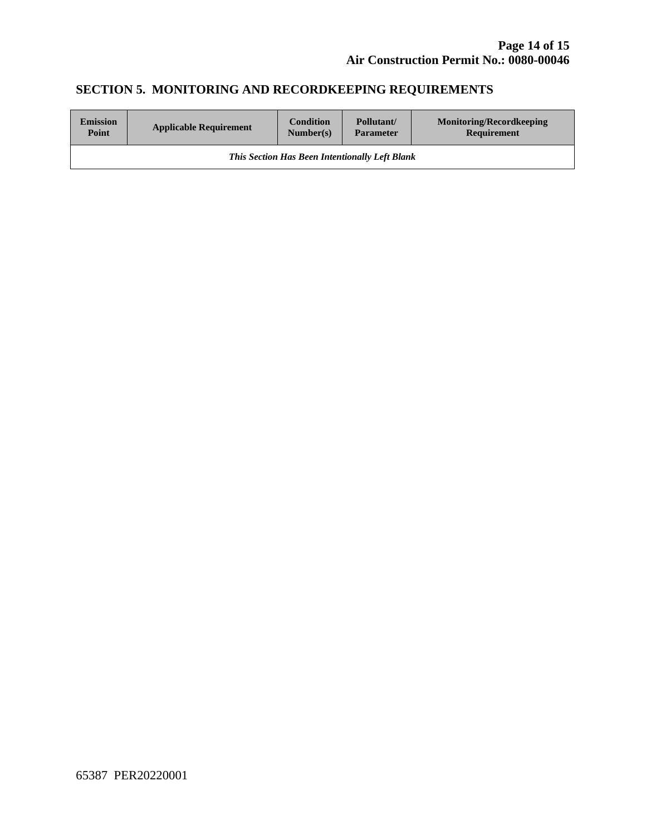# **SECTION 5. MONITORING AND RECORDKEEPING REQUIREMENTS**

| <b>Emission</b>                                       | <b>Applicable Requirement</b> | <b>Condition</b> | Pollutant/       | <b>Monitoring/Recordkeeping</b> |
|-------------------------------------------------------|-------------------------------|------------------|------------------|---------------------------------|
| Point                                                 |                               | Number(s)        | <b>Parameter</b> | Requirement                     |
| <b>This Section Has Been Intentionally Left Blank</b> |                               |                  |                  |                                 |